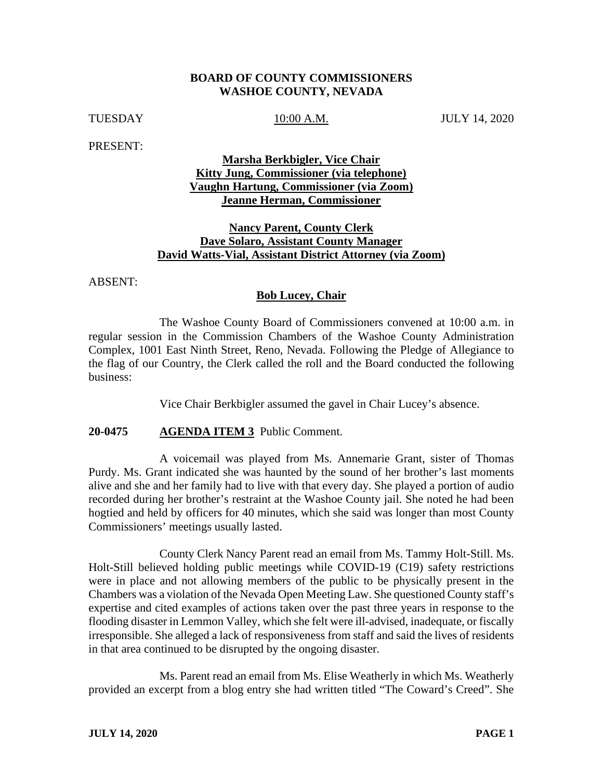## **BOARD OF COUNTY COMMISSIONERS WASHOE COUNTY, NEVADA**

TUESDAY 10:00 A.M. JULY 14, 2020

PRESENT:

# **Marsha Berkbigler, Vice Chair Kitty Jung, Commissioner (via telephone) Vaughn Hartung, Commissioner (via Zoom) Jeanne Herman, Commissioner**

# **Nancy Parent, County Clerk Dave Solaro, Assistant County Manager David Watts-Vial, Assistant District Attorney (via Zoom)**

ABSENT:

## **Bob Lucey, Chair**

The Washoe County Board of Commissioners convened at 10:00 a.m. in regular session in the Commission Chambers of the Washoe County Administration Complex, 1001 East Ninth Street, Reno, Nevada. Following the Pledge of Allegiance to the flag of our Country, the Clerk called the roll and the Board conducted the following business:

Vice Chair Berkbigler assumed the gavel in Chair Lucey's absence.

# **20-0475 AGENDA ITEM 3** Public Comment.

A voicemail was played from Ms. Annemarie Grant, sister of Thomas Purdy. Ms. Grant indicated she was haunted by the sound of her brother's last moments alive and she and her family had to live with that every day. She played a portion of audio recorded during her brother's restraint at the Washoe County jail. She noted he had been hogtied and held by officers for 40 minutes, which she said was longer than most County Commissioners' meetings usually lasted.

County Clerk Nancy Parent read an email from Ms. Tammy Holt-Still. Ms. Holt-Still believed holding public meetings while COVID-19 (C19) safety restrictions were in place and not allowing members of the public to be physically present in the Chambers was a violation of the Nevada Open Meeting Law. She questioned County staff's expertise and cited examples of actions taken over the past three years in response to the flooding disaster in Lemmon Valley, which she felt were ill-advised, inadequate, or fiscally irresponsible. She alleged a lack of responsiveness from staff and said the lives of residents in that area continued to be disrupted by the ongoing disaster.

Ms. Parent read an email from Ms. Elise Weatherly in which Ms. Weatherly provided an excerpt from a blog entry she had written titled "The Coward's Creed". She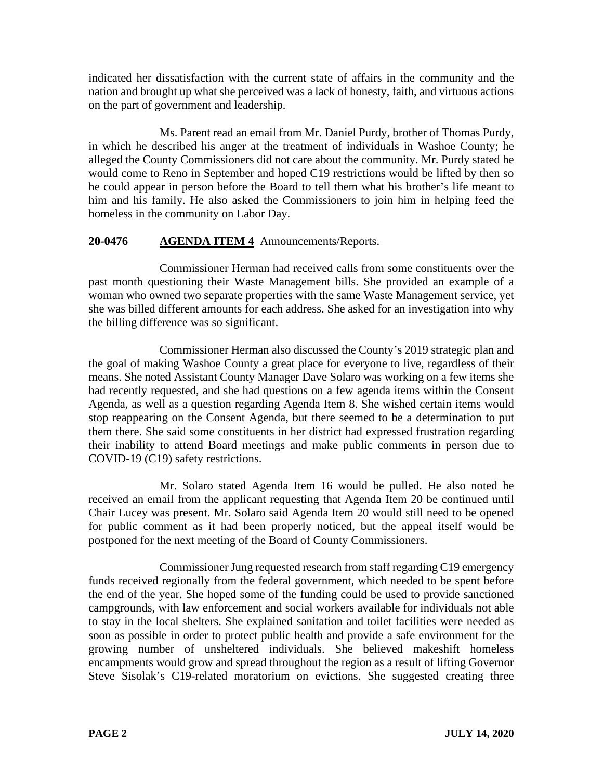indicated her dissatisfaction with the current state of affairs in the community and the nation and brought up what she perceived was a lack of honesty, faith, and virtuous actions on the part of government and leadership.

Ms. Parent read an email from Mr. Daniel Purdy, brother of Thomas Purdy, in which he described his anger at the treatment of individuals in Washoe County; he alleged the County Commissioners did not care about the community. Mr. Purdy stated he would come to Reno in September and hoped C19 restrictions would be lifted by then so he could appear in person before the Board to tell them what his brother's life meant to him and his family. He also asked the Commissioners to join him in helping feed the homeless in the community on Labor Day.

# **20-0476 AGENDA ITEM 4** Announcements/Reports.

Commissioner Herman had received calls from some constituents over the past month questioning their Waste Management bills. She provided an example of a woman who owned two separate properties with the same Waste Management service, yet she was billed different amounts for each address. She asked for an investigation into why the billing difference was so significant.

Commissioner Herman also discussed the County's 2019 strategic plan and the goal of making Washoe County a great place for everyone to live, regardless of their means. She noted Assistant County Manager Dave Solaro was working on a few items she had recently requested, and she had questions on a few agenda items within the Consent Agenda, as well as a question regarding Agenda Item 8. She wished certain items would stop reappearing on the Consent Agenda, but there seemed to be a determination to put them there. She said some constituents in her district had expressed frustration regarding their inability to attend Board meetings and make public comments in person due to COVID-19 (C19) safety restrictions.

Mr. Solaro stated Agenda Item 16 would be pulled. He also noted he received an email from the applicant requesting that Agenda Item 20 be continued until Chair Lucey was present. Mr. Solaro said Agenda Item 20 would still need to be opened for public comment as it had been properly noticed, but the appeal itself would be postponed for the next meeting of the Board of County Commissioners.

Commissioner Jung requested research from staff regarding C19 emergency funds received regionally from the federal government, which needed to be spent before the end of the year. She hoped some of the funding could be used to provide sanctioned campgrounds, with law enforcement and social workers available for individuals not able to stay in the local shelters. She explained sanitation and toilet facilities were needed as soon as possible in order to protect public health and provide a safe environment for the growing number of unsheltered individuals. She believed makeshift homeless encampments would grow and spread throughout the region as a result of lifting Governor Steve Sisolak's C19-related moratorium on evictions. She suggested creating three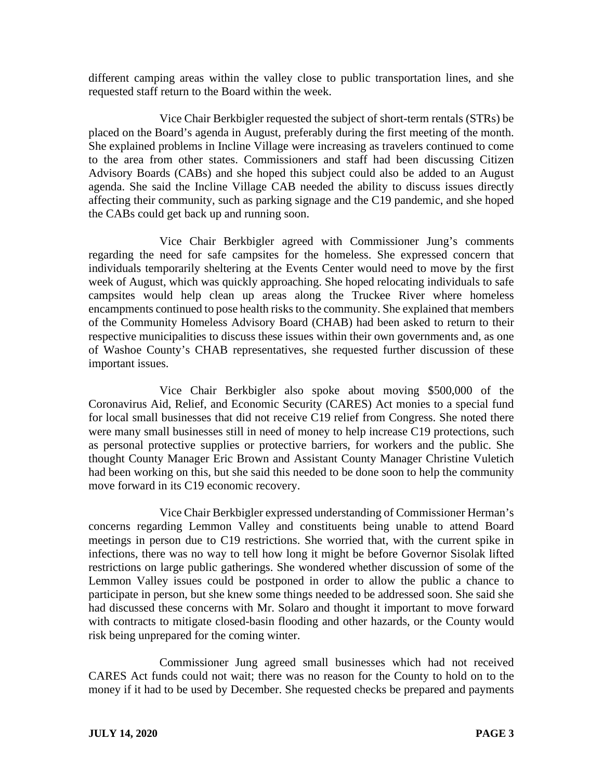different camping areas within the valley close to public transportation lines, and she requested staff return to the Board within the week.

Vice Chair Berkbigler requested the subject of short-term rentals (STRs) be placed on the Board's agenda in August, preferably during the first meeting of the month. She explained problems in Incline Village were increasing as travelers continued to come to the area from other states. Commissioners and staff had been discussing Citizen Advisory Boards (CABs) and she hoped this subject could also be added to an August agenda. She said the Incline Village CAB needed the ability to discuss issues directly affecting their community, such as parking signage and the C19 pandemic, and she hoped the CABs could get back up and running soon.

Vice Chair Berkbigler agreed with Commissioner Jung's comments regarding the need for safe campsites for the homeless. She expressed concern that individuals temporarily sheltering at the Events Center would need to move by the first week of August, which was quickly approaching. She hoped relocating individuals to safe campsites would help clean up areas along the Truckee River where homeless encampments continued to pose health risks to the community. She explained that members of the Community Homeless Advisory Board (CHAB) had been asked to return to their respective municipalities to discuss these issues within their own governments and, as one of Washoe County's CHAB representatives, she requested further discussion of these important issues.

Vice Chair Berkbigler also spoke about moving \$500,000 of the Coronavirus Aid, Relief, and Economic Security (CARES) Act monies to a special fund for local small businesses that did not receive C19 relief from Congress. She noted there were many small businesses still in need of money to help increase C19 protections, such as personal protective supplies or protective barriers, for workers and the public. She thought County Manager Eric Brown and Assistant County Manager Christine Vuletich had been working on this, but she said this needed to be done soon to help the community move forward in its C19 economic recovery.

Vice Chair Berkbigler expressed understanding of Commissioner Herman's concerns regarding Lemmon Valley and constituents being unable to attend Board meetings in person due to C19 restrictions. She worried that, with the current spike in infections, there was no way to tell how long it might be before Governor Sisolak lifted restrictions on large public gatherings. She wondered whether discussion of some of the Lemmon Valley issues could be postponed in order to allow the public a chance to participate in person, but she knew some things needed to be addressed soon. She said she had discussed these concerns with Mr. Solaro and thought it important to move forward with contracts to mitigate closed-basin flooding and other hazards, or the County would risk being unprepared for the coming winter.

Commissioner Jung agreed small businesses which had not received CARES Act funds could not wait; there was no reason for the County to hold on to the money if it had to be used by December. She requested checks be prepared and payments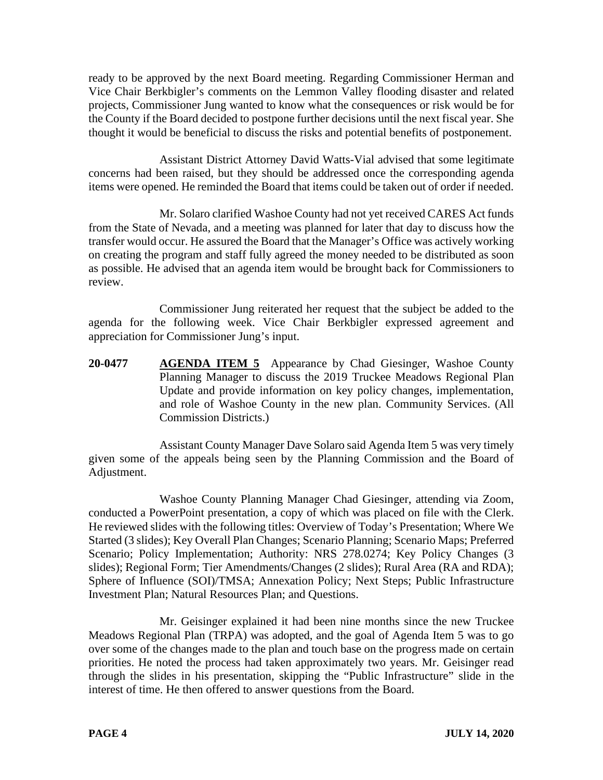ready to be approved by the next Board meeting. Regarding Commissioner Herman and Vice Chair Berkbigler's comments on the Lemmon Valley flooding disaster and related projects, Commissioner Jung wanted to know what the consequences or risk would be for the County if the Board decided to postpone further decisions until the next fiscal year. She thought it would be beneficial to discuss the risks and potential benefits of postponement.

Assistant District Attorney David Watts-Vial advised that some legitimate concerns had been raised, but they should be addressed once the corresponding agenda items were opened. He reminded the Board that items could be taken out of order if needed.

Mr. Solaro clarified Washoe County had not yet received CARES Act funds from the State of Nevada, and a meeting was planned for later that day to discuss how the transfer would occur. He assured the Board that the Manager's Office was actively working on creating the program and staff fully agreed the money needed to be distributed as soon as possible. He advised that an agenda item would be brought back for Commissioners to review.

Commissioner Jung reiterated her request that the subject be added to the agenda for the following week. Vice Chair Berkbigler expressed agreement and appreciation for Commissioner Jung's input.

20-0477 **AGENDA ITEM 5** Appearance by Chad Giesinger, Washoe County Planning Manager to discuss the 2019 Truckee Meadows Regional Plan Update and provide information on key policy changes, implementation, and role of Washoe County in the new plan. Community Services. (All Commission Districts.)

Assistant County Manager Dave Solaro said Agenda Item 5 was very timely given some of the appeals being seen by the Planning Commission and the Board of Adjustment.

Washoe County Planning Manager Chad Giesinger, attending via Zoom, conducted a PowerPoint presentation, a copy of which was placed on file with the Clerk. He reviewed slides with the following titles: Overview of Today's Presentation; Where We Started (3 slides); Key Overall Plan Changes; Scenario Planning; Scenario Maps; Preferred Scenario; Policy Implementation; Authority: NRS 278.0274; Key Policy Changes (3 slides); Regional Form; Tier Amendments/Changes (2 slides); Rural Area (RA and RDA); Sphere of Influence (SOI)/TMSA; Annexation Policy; Next Steps; Public Infrastructure Investment Plan; Natural Resources Plan; and Questions.

Mr. Geisinger explained it had been nine months since the new Truckee Meadows Regional Plan (TRPA) was adopted, and the goal of Agenda Item 5 was to go over some of the changes made to the plan and touch base on the progress made on certain priorities. He noted the process had taken approximately two years. Mr. Geisinger read through the slides in his presentation, skipping the "Public Infrastructure" slide in the interest of time. He then offered to answer questions from the Board.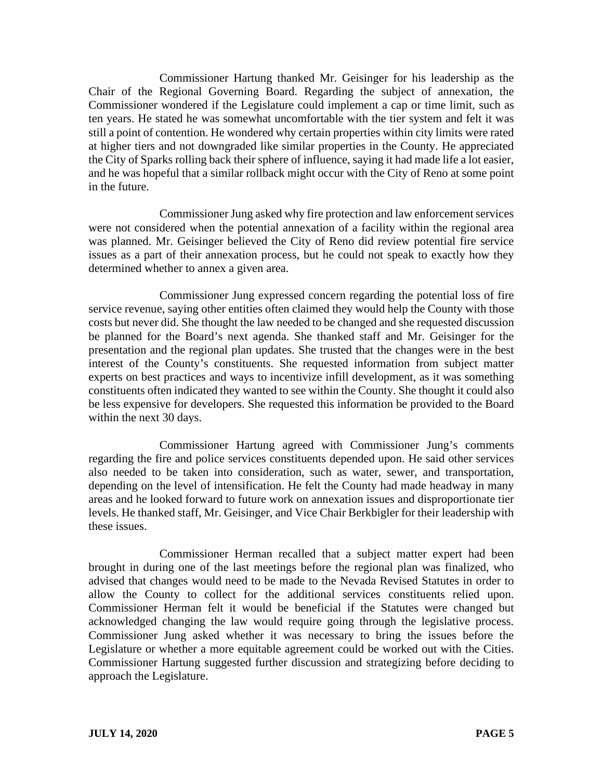Commissioner Hartung thanked Mr. Geisinger for his leadership as the Chair of the Regional Governing Board. Regarding the subject of annexation, the Commissioner wondered if the Legislature could implement a cap or time limit, such as ten years. He stated he was somewhat uncomfortable with the tier system and felt it was still a point of contention. He wondered why certain properties within city limits were rated at higher tiers and not downgraded like similar properties in the County. He appreciated the City of Sparks rolling back their sphere of influence, saying it had made life a lot easier, and he was hopeful that a similar rollback might occur with the City of Reno at some point in the future.

Commissioner Jung asked why fire protection and law enforcement services were not considered when the potential annexation of a facility within the regional area was planned. Mr. Geisinger believed the City of Reno did review potential fire service issues as a part of their annexation process, but he could not speak to exactly how they determined whether to annex a given area.

Commissioner Jung expressed concern regarding the potential loss of fire service revenue, saying other entities often claimed they would help the County with those costs but never did. She thought the law needed to be changed and she requested discussion be planned for the Board's next agenda. She thanked staff and Mr. Geisinger for the presentation and the regional plan updates. She trusted that the changes were in the best interest of the County's constituents. She requested information from subject matter experts on best practices and ways to incentivize infill development, as it was something constituents often indicated they wanted to see within the County. She thought it could also be less expensive for developers. She requested this information be provided to the Board within the next 30 days.

Commissioner Hartung agreed with Commissioner Jung's comments regarding the fire and police services constituents depended upon. He said other services also needed to be taken into consideration, such as water, sewer, and transportation, depending on the level of intensification. He felt the County had made headway in many areas and he looked forward to future work on annexation issues and disproportionate tier levels. He thanked staff, Mr. Geisinger, and Vice Chair Berkbigler for their leadership with these issues.

Commissioner Herman recalled that a subject matter expert had been brought in during one of the last meetings before the regional plan was finalized, who advised that changes would need to be made to the Nevada Revised Statutes in order to allow the County to collect for the additional services constituents relied upon. Commissioner Herman felt it would be beneficial if the Statutes were changed but acknowledged changing the law would require going through the legislative process. Commissioner Jung asked whether it was necessary to bring the issues before the Legislature or whether a more equitable agreement could be worked out with the Cities. Commissioner Hartung suggested further discussion and strategizing before deciding to approach the Legislature.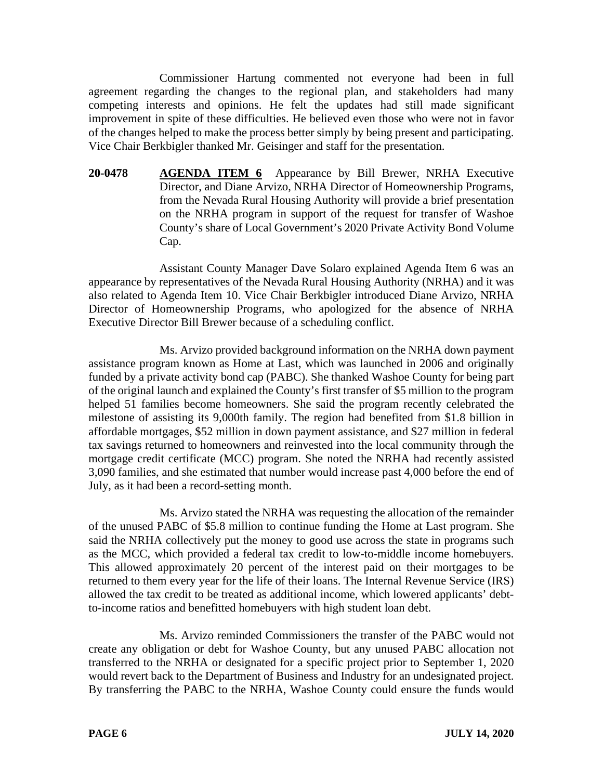Commissioner Hartung commented not everyone had been in full agreement regarding the changes to the regional plan, and stakeholders had many competing interests and opinions. He felt the updates had still made significant improvement in spite of these difficulties. He believed even those who were not in favor of the changes helped to make the process better simply by being present and participating. Vice Chair Berkbigler thanked Mr. Geisinger and staff for the presentation.

**20-0478 AGENDA ITEM 6** Appearance by Bill Brewer, NRHA Executive Director, and Diane Arvizo, NRHA Director of Homeownership Programs, from the Nevada Rural Housing Authority will provide a brief presentation on the NRHA program in support of the request for transfer of Washoe County's share of Local Government's 2020 Private Activity Bond Volume Cap.

Assistant County Manager Dave Solaro explained Agenda Item 6 was an appearance by representatives of the Nevada Rural Housing Authority (NRHA) and it was also related to Agenda Item 10. Vice Chair Berkbigler introduced Diane Arvizo, NRHA Director of Homeownership Programs, who apologized for the absence of NRHA Executive Director Bill Brewer because of a scheduling conflict.

Ms. Arvizo provided background information on the NRHA down payment assistance program known as Home at Last, which was launched in 2006 and originally funded by a private activity bond cap (PABC). She thanked Washoe County for being part of the original launch and explained the County's first transfer of \$5 million to the program helped 51 families become homeowners. She said the program recently celebrated the milestone of assisting its 9,000th family. The region had benefited from \$1.8 billion in affordable mortgages, \$52 million in down payment assistance, and \$27 million in federal tax savings returned to homeowners and reinvested into the local community through the mortgage credit certificate (MCC) program. She noted the NRHA had recently assisted 3,090 families, and she estimated that number would increase past 4,000 before the end of July, as it had been a record-setting month.

Ms. Arvizo stated the NRHA was requesting the allocation of the remainder of the unused PABC of \$5.8 million to continue funding the Home at Last program. She said the NRHA collectively put the money to good use across the state in programs such as the MCC, which provided a federal tax credit to low-to-middle income homebuyers. This allowed approximately 20 percent of the interest paid on their mortgages to be returned to them every year for the life of their loans. The Internal Revenue Service (IRS) allowed the tax credit to be treated as additional income, which lowered applicants' debtto-income ratios and benefitted homebuyers with high student loan debt.

Ms. Arvizo reminded Commissioners the transfer of the PABC would not create any obligation or debt for Washoe County, but any unused PABC allocation not transferred to the NRHA or designated for a specific project prior to September 1, 2020 would revert back to the Department of Business and Industry for an undesignated project. By transferring the PABC to the NRHA, Washoe County could ensure the funds would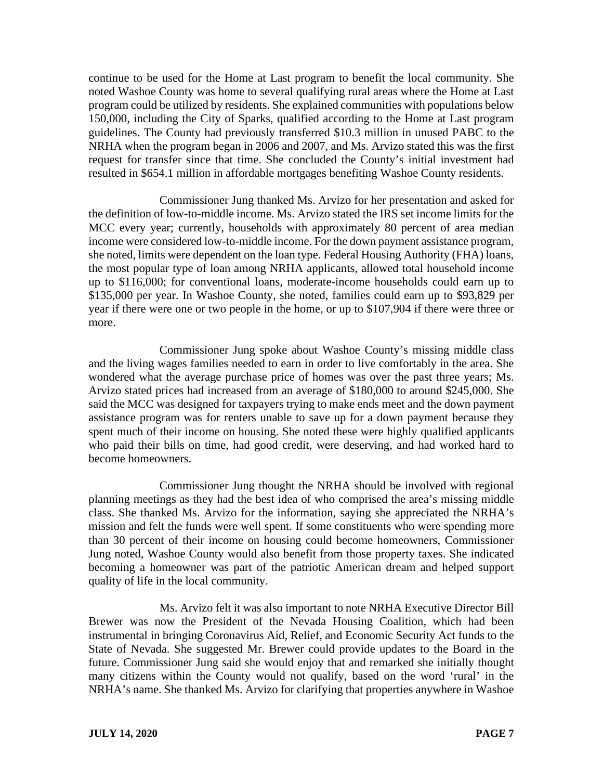continue to be used for the Home at Last program to benefit the local community. She noted Washoe County was home to several qualifying rural areas where the Home at Last program could be utilized by residents. She explained communities with populations below 150,000, including the City of Sparks, qualified according to the Home at Last program guidelines. The County had previously transferred \$10.3 million in unused PABC to the NRHA when the program began in 2006 and 2007, and Ms. Arvizo stated this was the first request for transfer since that time. She concluded the County's initial investment had resulted in \$654.1 million in affordable mortgages benefiting Washoe County residents.

Commissioner Jung thanked Ms. Arvizo for her presentation and asked for the definition of low-to-middle income. Ms. Arvizo stated the IRS set income limits for the MCC every year; currently, households with approximately 80 percent of area median income were considered low-to-middle income. For the down payment assistance program, she noted, limits were dependent on the loan type. Federal Housing Authority (FHA) loans, the most popular type of loan among NRHA applicants, allowed total household income up to \$116,000; for conventional loans, moderate-income households could earn up to \$135,000 per year. In Washoe County, she noted, families could earn up to \$93,829 per year if there were one or two people in the home, or up to \$107,904 if there were three or more.

Commissioner Jung spoke about Washoe County's missing middle class and the living wages families needed to earn in order to live comfortably in the area. She wondered what the average purchase price of homes was over the past three years; Ms. Arvizo stated prices had increased from an average of \$180,000 to around \$245,000. She said the MCC was designed for taxpayers trying to make ends meet and the down payment assistance program was for renters unable to save up for a down payment because they spent much of their income on housing. She noted these were highly qualified applicants who paid their bills on time, had good credit, were deserving, and had worked hard to become homeowners.

Commissioner Jung thought the NRHA should be involved with regional planning meetings as they had the best idea of who comprised the area's missing middle class. She thanked Ms. Arvizo for the information, saying she appreciated the NRHA's mission and felt the funds were well spent. If some constituents who were spending more than 30 percent of their income on housing could become homeowners, Commissioner Jung noted, Washoe County would also benefit from those property taxes. She indicated becoming a homeowner was part of the patriotic American dream and helped support quality of life in the local community.

Ms. Arvizo felt it was also important to note NRHA Executive Director Bill Brewer was now the President of the Nevada Housing Coalition, which had been instrumental in bringing Coronavirus Aid, Relief, and Economic Security Act funds to the State of Nevada. She suggested Mr. Brewer could provide updates to the Board in the future. Commissioner Jung said she would enjoy that and remarked she initially thought many citizens within the County would not qualify, based on the word 'rural' in the NRHA's name. She thanked Ms. Arvizo for clarifying that properties anywhere in Washoe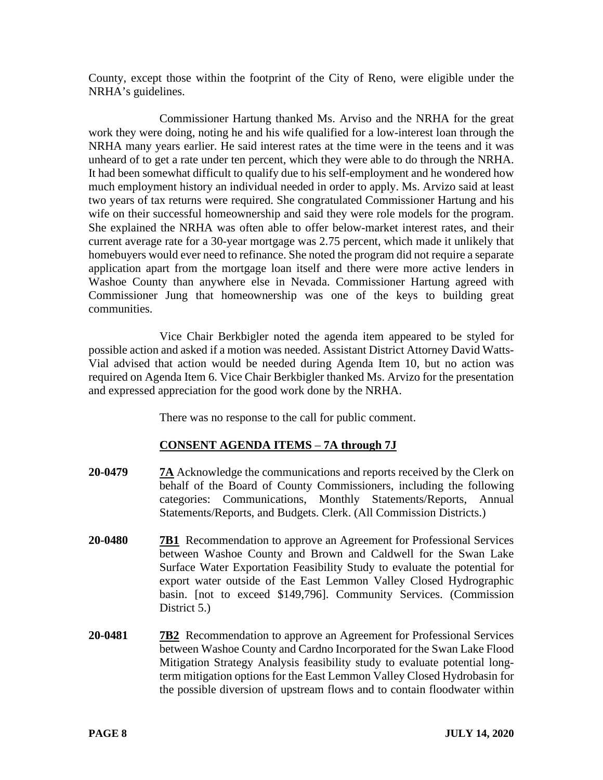County, except those within the footprint of the City of Reno, were eligible under the NRHA's guidelines.

Commissioner Hartung thanked Ms. Arviso and the NRHA for the great work they were doing, noting he and his wife qualified for a low-interest loan through the NRHA many years earlier. He said interest rates at the time were in the teens and it was unheard of to get a rate under ten percent, which they were able to do through the NRHA. It had been somewhat difficult to qualify due to his self-employment and he wondered how much employment history an individual needed in order to apply. Ms. Arvizo said at least two years of tax returns were required. She congratulated Commissioner Hartung and his wife on their successful homeownership and said they were role models for the program. She explained the NRHA was often able to offer below-market interest rates, and their current average rate for a 30-year mortgage was 2.75 percent, which made it unlikely that homebuyers would ever need to refinance. She noted the program did not require a separate application apart from the mortgage loan itself and there were more active lenders in Washoe County than anywhere else in Nevada. Commissioner Hartung agreed with Commissioner Jung that homeownership was one of the keys to building great communities.

Vice Chair Berkbigler noted the agenda item appeared to be styled for possible action and asked if a motion was needed. Assistant District Attorney David Watts-Vial advised that action would be needed during Agenda Item 10, but no action was required on Agenda Item 6. Vice Chair Berkbigler thanked Ms. Arvizo for the presentation and expressed appreciation for the good work done by the NRHA.

There was no response to the call for public comment.

# **CONSENT AGENDA ITEMS** – **7A through 7J**

- **20-0479 7A** Acknowledge the communications and reports received by the Clerk on behalf of the Board of County Commissioners, including the following categories: Communications, Monthly Statements/Reports, Annual Statements/Reports, and Budgets. Clerk. (All Commission Districts.)
- **20-0480 7B1** Recommendation to approve an Agreement for Professional Services between Washoe County and Brown and Caldwell for the Swan Lake Surface Water Exportation Feasibility Study to evaluate the potential for export water outside of the East Lemmon Valley Closed Hydrographic basin. [not to exceed \$149,796]. Community Services. (Commission District 5.)
- **20-0481 7B2** Recommendation to approve an Agreement for Professional Services between Washoe County and Cardno Incorporated for the Swan Lake Flood Mitigation Strategy Analysis feasibility study to evaluate potential longterm mitigation options for the East Lemmon Valley Closed Hydrobasin for the possible diversion of upstream flows and to contain floodwater within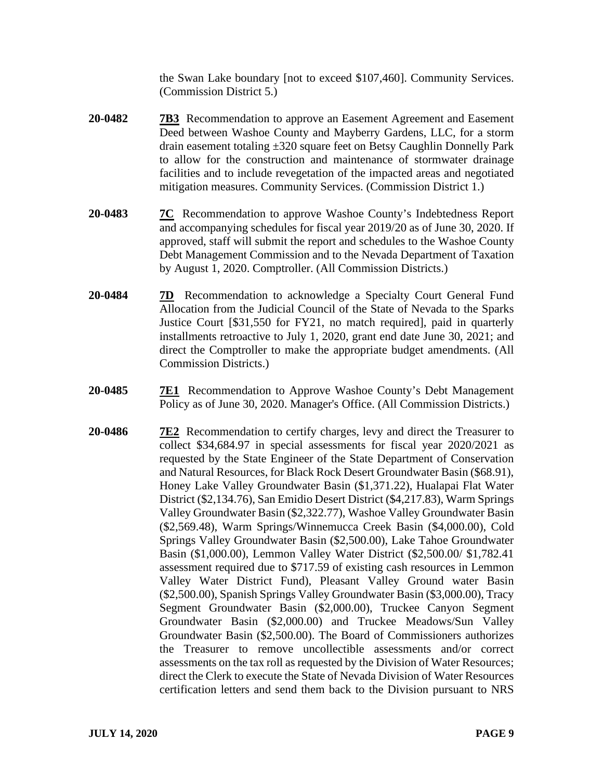the Swan Lake boundary [not to exceed \$107,460]. Community Services. (Commission District 5.)

- **20-0482 7B3** Recommendation to approve an Easement Agreement and Easement Deed between Washoe County and Mayberry Gardens, LLC, for a storm drain easement totaling ±320 square feet on Betsy Caughlin Donnelly Park to allow for the construction and maintenance of stormwater drainage facilities and to include revegetation of the impacted areas and negotiated mitigation measures. Community Services. (Commission District 1.)
- **20-0483 7C** Recommendation to approve Washoe County's Indebtedness Report and accompanying schedules for fiscal year 2019/20 as of June 30, 2020. If approved, staff will submit the report and schedules to the Washoe County Debt Management Commission and to the Nevada Department of Taxation by August 1, 2020. Comptroller. (All Commission Districts.)
- **20-0484 7D** Recommendation to acknowledge a Specialty Court General Fund Allocation from the Judicial Council of the State of Nevada to the Sparks Justice Court [\$31,550 for FY21, no match required], paid in quarterly installments retroactive to July 1, 2020, grant end date June 30, 2021; and direct the Comptroller to make the appropriate budget amendments. (All Commission Districts.)
- **20-0485 7E1** Recommendation to Approve Washoe County's Debt Management Policy as of June 30, 2020. Manager's Office. (All Commission Districts.)
- **20-0486 7E2** Recommendation to certify charges, levy and direct the Treasurer to collect \$34,684.97 in special assessments for fiscal year 2020/2021 as requested by the State Engineer of the State Department of Conservation and Natural Resources, for Black Rock Desert Groundwater Basin (\$68.91), Honey Lake Valley Groundwater Basin (\$1,371.22), Hualapai Flat Water District (\$2,134.76), San Emidio Desert District (\$4,217.83), Warm Springs Valley Groundwater Basin (\$2,322.77), Washoe Valley Groundwater Basin (\$2,569.48), Warm Springs/Winnemucca Creek Basin (\$4,000.00), Cold Springs Valley Groundwater Basin (\$2,500.00), Lake Tahoe Groundwater Basin (\$1,000.00), Lemmon Valley Water District (\$2,500.00/ \$1,782.41 assessment required due to \$717.59 of existing cash resources in Lemmon Valley Water District Fund), Pleasant Valley Ground water Basin (\$2,500.00), Spanish Springs Valley Groundwater Basin (\$3,000.00), Tracy Segment Groundwater Basin (\$2,000.00), Truckee Canyon Segment Groundwater Basin (\$2,000.00) and Truckee Meadows/Sun Valley Groundwater Basin (\$2,500.00). The Board of Commissioners authorizes the Treasurer to remove uncollectible assessments and/or correct assessments on the tax roll as requested by the Division of Water Resources; direct the Clerk to execute the State of Nevada Division of Water Resources certification letters and send them back to the Division pursuant to NRS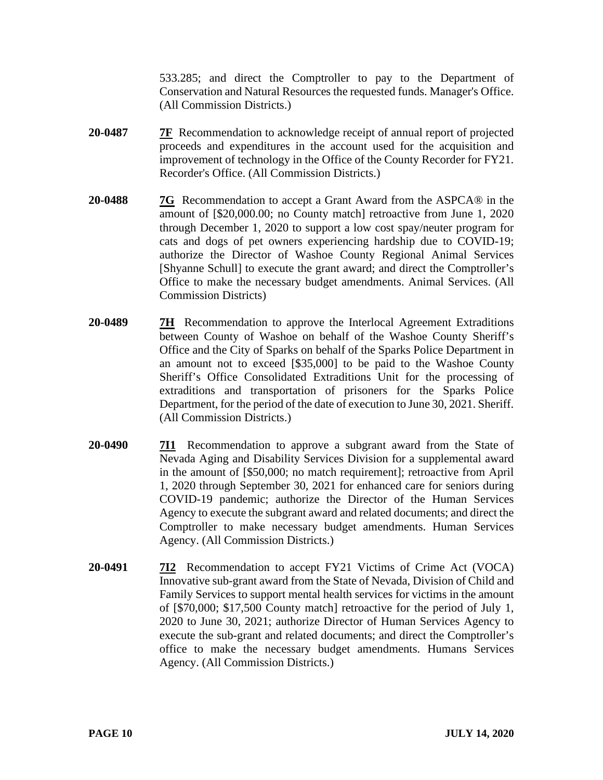533.285; and direct the Comptroller to pay to the Department of Conservation and Natural Resources the requested funds. Manager's Office. (All Commission Districts.)

- **20-0487 7F** Recommendation to acknowledge receipt of annual report of projected proceeds and expenditures in the account used for the acquisition and improvement of technology in the Office of the County Recorder for FY21. Recorder's Office. (All Commission Districts.)
- **20-0488 7G** Recommendation to accept a Grant Award from the ASPCA® in the amount of [\$20,000.00; no County match] retroactive from June 1, 2020 through December 1, 2020 to support a low cost spay/neuter program for cats and dogs of pet owners experiencing hardship due to COVID-19; authorize the Director of Washoe County Regional Animal Services [Shyanne Schull] to execute the grant award; and direct the Comptroller's Office to make the necessary budget amendments. Animal Services. (All Commission Districts)
- **20-0489 7H** Recommendation to approve the Interlocal Agreement Extraditions between County of Washoe on behalf of the Washoe County Sheriff's Office and the City of Sparks on behalf of the Sparks Police Department in an amount not to exceed [\$35,000] to be paid to the Washoe County Sheriff's Office Consolidated Extraditions Unit for the processing of extraditions and transportation of prisoners for the Sparks Police Department, for the period of the date of execution to June 30, 2021. Sheriff. (All Commission Districts.)
- **20-0490 7I1** Recommendation to approve a subgrant award from the State of Nevada Aging and Disability Services Division for a supplemental award in the amount of [\$50,000; no match requirement]; retroactive from April 1, 2020 through September 30, 2021 for enhanced care for seniors during COVID-19 pandemic; authorize the Director of the Human Services Agency to execute the subgrant award and related documents; and direct the Comptroller to make necessary budget amendments. Human Services Agency. (All Commission Districts.)
- **20-0491 7I2** Recommendation to accept FY21 Victims of Crime Act (VOCA) Innovative sub-grant award from the State of Nevada, Division of Child and Family Services to support mental health services for victims in the amount of [\$70,000; \$17,500 County match] retroactive for the period of July 1, 2020 to June 30, 2021; authorize Director of Human Services Agency to execute the sub-grant and related documents; and direct the Comptroller's office to make the necessary budget amendments. Humans Services Agency. (All Commission Districts.)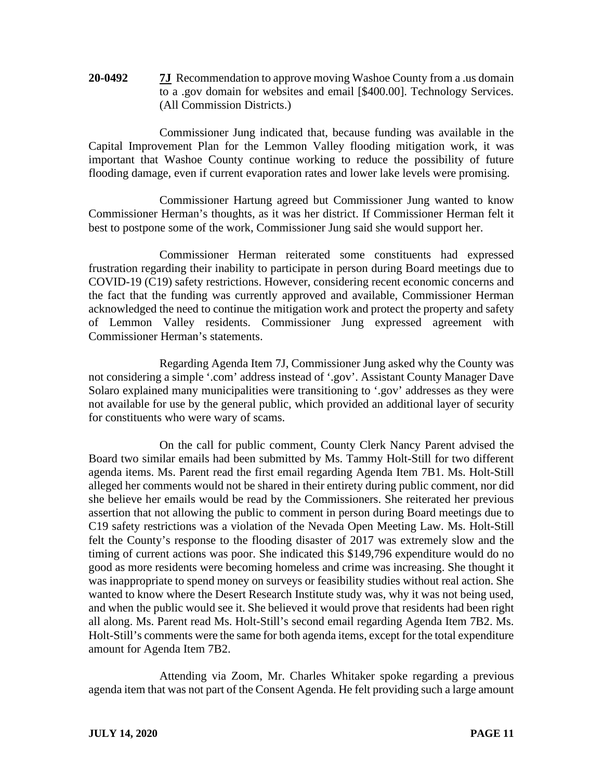**20-0492 7J** Recommendation to approve moving Washoe County from a .us domain to a .gov domain for websites and email [\$400.00]. Technology Services. (All Commission Districts.)

Commissioner Jung indicated that, because funding was available in the Capital Improvement Plan for the Lemmon Valley flooding mitigation work, it was important that Washoe County continue working to reduce the possibility of future flooding damage, even if current evaporation rates and lower lake levels were promising.

Commissioner Hartung agreed but Commissioner Jung wanted to know Commissioner Herman's thoughts, as it was her district. If Commissioner Herman felt it best to postpone some of the work, Commissioner Jung said she would support her.

Commissioner Herman reiterated some constituents had expressed frustration regarding their inability to participate in person during Board meetings due to COVID-19 (C19) safety restrictions. However, considering recent economic concerns and the fact that the funding was currently approved and available, Commissioner Herman acknowledged the need to continue the mitigation work and protect the property and safety of Lemmon Valley residents. Commissioner Jung expressed agreement with Commissioner Herman's statements.

Regarding Agenda Item 7J, Commissioner Jung asked why the County was not considering a simple '.com' address instead of '.gov'. Assistant County Manager Dave Solaro explained many municipalities were transitioning to '.gov' addresses as they were not available for use by the general public, which provided an additional layer of security for constituents who were wary of scams.

On the call for public comment, County Clerk Nancy Parent advised the Board two similar emails had been submitted by Ms. Tammy Holt-Still for two different agenda items. Ms. Parent read the first email regarding Agenda Item 7B1. Ms. Holt-Still alleged her comments would not be shared in their entirety during public comment, nor did she believe her emails would be read by the Commissioners. She reiterated her previous assertion that not allowing the public to comment in person during Board meetings due to C19 safety restrictions was a violation of the Nevada Open Meeting Law. Ms. Holt-Still felt the County's response to the flooding disaster of 2017 was extremely slow and the timing of current actions was poor. She indicated this \$149,796 expenditure would do no good as more residents were becoming homeless and crime was increasing. She thought it was inappropriate to spend money on surveys or feasibility studies without real action. She wanted to know where the Desert Research Institute study was, why it was not being used, and when the public would see it. She believed it would prove that residents had been right all along. Ms. Parent read Ms. Holt-Still's second email regarding Agenda Item 7B2. Ms. Holt-Still's comments were the same for both agenda items, except for the total expenditure amount for Agenda Item 7B2.

Attending via Zoom, Mr. Charles Whitaker spoke regarding a previous agenda item that was not part of the Consent Agenda. He felt providing such a large amount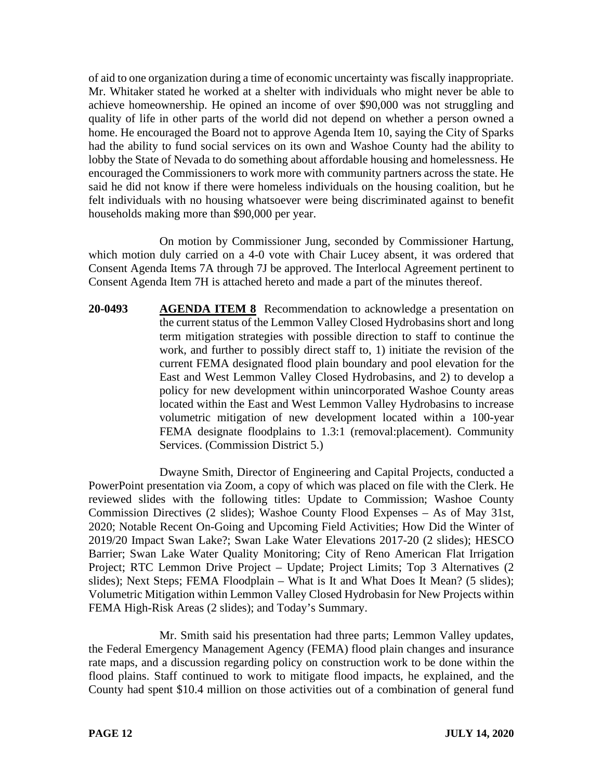of aid to one organization during a time of economic uncertainty was fiscally inappropriate. Mr. Whitaker stated he worked at a shelter with individuals who might never be able to achieve homeownership. He opined an income of over \$90,000 was not struggling and quality of life in other parts of the world did not depend on whether a person owned a home. He encouraged the Board not to approve Agenda Item 10, saying the City of Sparks had the ability to fund social services on its own and Washoe County had the ability to lobby the State of Nevada to do something about affordable housing and homelessness. He encouraged the Commissioners to work more with community partners across the state. He said he did not know if there were homeless individuals on the housing coalition, but he felt individuals with no housing whatsoever were being discriminated against to benefit households making more than \$90,000 per year.

On motion by Commissioner Jung, seconded by Commissioner Hartung, which motion duly carried on a 4-0 vote with Chair Lucey absent, it was ordered that Consent Agenda Items 7A through 7J be approved. The Interlocal Agreement pertinent to Consent Agenda Item 7H is attached hereto and made a part of the minutes thereof.

**20-0493 AGENDA ITEM 8** Recommendation to acknowledge a presentation on the current status of the Lemmon Valley Closed Hydrobasins short and long term mitigation strategies with possible direction to staff to continue the work, and further to possibly direct staff to, 1) initiate the revision of the current FEMA designated flood plain boundary and pool elevation for the East and West Lemmon Valley Closed Hydrobasins, and 2) to develop a policy for new development within unincorporated Washoe County areas located within the East and West Lemmon Valley Hydrobasins to increase volumetric mitigation of new development located within a 100-year FEMA designate floodplains to 1.3:1 (removal:placement). Community Services. (Commission District 5.)

Dwayne Smith, Director of Engineering and Capital Projects, conducted a PowerPoint presentation via Zoom, a copy of which was placed on file with the Clerk. He reviewed slides with the following titles: Update to Commission; Washoe County Commission Directives (2 slides); Washoe County Flood Expenses – As of May 31st, 2020; Notable Recent On-Going and Upcoming Field Activities; How Did the Winter of 2019/20 Impact Swan Lake?; Swan Lake Water Elevations 2017-20 (2 slides); HESCO Barrier; Swan Lake Water Quality Monitoring; City of Reno American Flat Irrigation Project; RTC Lemmon Drive Project – Update; Project Limits; Top 3 Alternatives (2 slides); Next Steps; FEMA Floodplain – What is It and What Does It Mean? (5 slides); Volumetric Mitigation within Lemmon Valley Closed Hydrobasin for New Projects within FEMA High-Risk Areas (2 slides); and Today's Summary.

Mr. Smith said his presentation had three parts; Lemmon Valley updates, the Federal Emergency Management Agency (FEMA) flood plain changes and insurance rate maps, and a discussion regarding policy on construction work to be done within the flood plains. Staff continued to work to mitigate flood impacts, he explained, and the County had spent \$10.4 million on those activities out of a combination of general fund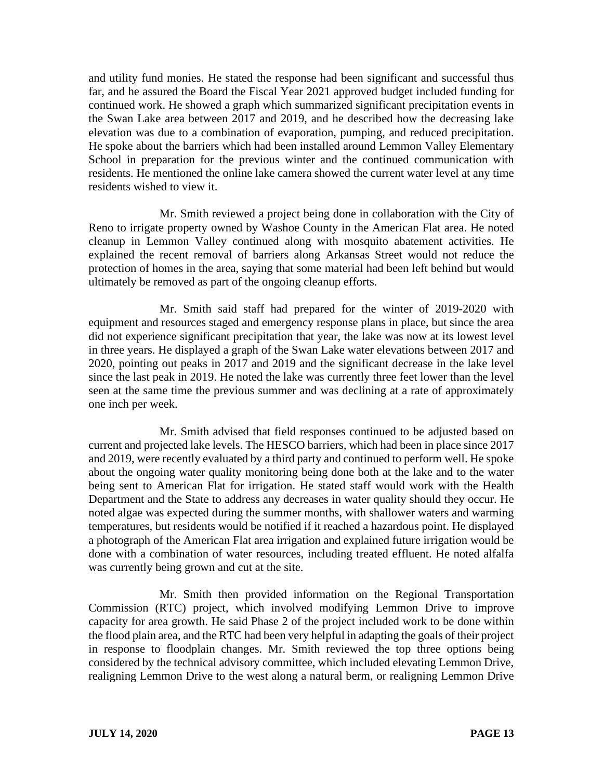and utility fund monies. He stated the response had been significant and successful thus far, and he assured the Board the Fiscal Year 2021 approved budget included funding for continued work. He showed a graph which summarized significant precipitation events in the Swan Lake area between 2017 and 2019, and he described how the decreasing lake elevation was due to a combination of evaporation, pumping, and reduced precipitation. He spoke about the barriers which had been installed around Lemmon Valley Elementary School in preparation for the previous winter and the continued communication with residents. He mentioned the online lake camera showed the current water level at any time residents wished to view it.

Mr. Smith reviewed a project being done in collaboration with the City of Reno to irrigate property owned by Washoe County in the American Flat area. He noted cleanup in Lemmon Valley continued along with mosquito abatement activities. He explained the recent removal of barriers along Arkansas Street would not reduce the protection of homes in the area, saying that some material had been left behind but would ultimately be removed as part of the ongoing cleanup efforts.

Mr. Smith said staff had prepared for the winter of 2019-2020 with equipment and resources staged and emergency response plans in place, but since the area did not experience significant precipitation that year, the lake was now at its lowest level in three years. He displayed a graph of the Swan Lake water elevations between 2017 and 2020, pointing out peaks in 2017 and 2019 and the significant decrease in the lake level since the last peak in 2019. He noted the lake was currently three feet lower than the level seen at the same time the previous summer and was declining at a rate of approximately one inch per week.

Mr. Smith advised that field responses continued to be adjusted based on current and projected lake levels. The HESCO barriers, which had been in place since 2017 and 2019, were recently evaluated by a third party and continued to perform well. He spoke about the ongoing water quality monitoring being done both at the lake and to the water being sent to American Flat for irrigation. He stated staff would work with the Health Department and the State to address any decreases in water quality should they occur. He noted algae was expected during the summer months, with shallower waters and warming temperatures, but residents would be notified if it reached a hazardous point. He displayed a photograph of the American Flat area irrigation and explained future irrigation would be done with a combination of water resources, including treated effluent. He noted alfalfa was currently being grown and cut at the site.

Mr. Smith then provided information on the Regional Transportation Commission (RTC) project, which involved modifying Lemmon Drive to improve capacity for area growth. He said Phase 2 of the project included work to be done within the flood plain area, and the RTC had been very helpful in adapting the goals of their project in response to floodplain changes. Mr. Smith reviewed the top three options being considered by the technical advisory committee, which included elevating Lemmon Drive, realigning Lemmon Drive to the west along a natural berm, or realigning Lemmon Drive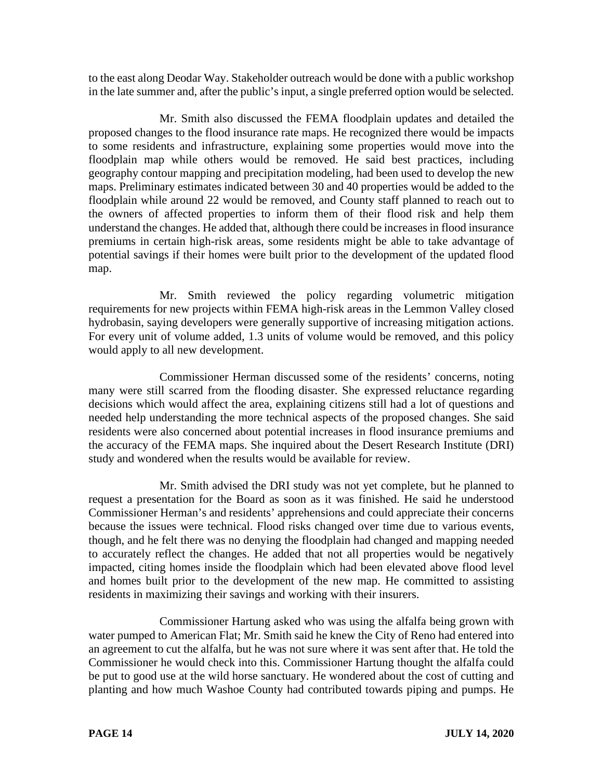to the east along Deodar Way. Stakeholder outreach would be done with a public workshop in the late summer and, after the public's input, a single preferred option would be selected.

Mr. Smith also discussed the FEMA floodplain updates and detailed the proposed changes to the flood insurance rate maps. He recognized there would be impacts to some residents and infrastructure, explaining some properties would move into the floodplain map while others would be removed. He said best practices, including geography contour mapping and precipitation modeling, had been used to develop the new maps. Preliminary estimates indicated between 30 and 40 properties would be added to the floodplain while around 22 would be removed, and County staff planned to reach out to the owners of affected properties to inform them of their flood risk and help them understand the changes. He added that, although there could be increases in flood insurance premiums in certain high-risk areas, some residents might be able to take advantage of potential savings if their homes were built prior to the development of the updated flood map.

Mr. Smith reviewed the policy regarding volumetric mitigation requirements for new projects within FEMA high-risk areas in the Lemmon Valley closed hydrobasin, saying developers were generally supportive of increasing mitigation actions. For every unit of volume added, 1.3 units of volume would be removed, and this policy would apply to all new development.

Commissioner Herman discussed some of the residents' concerns, noting many were still scarred from the flooding disaster. She expressed reluctance regarding decisions which would affect the area, explaining citizens still had a lot of questions and needed help understanding the more technical aspects of the proposed changes. She said residents were also concerned about potential increases in flood insurance premiums and the accuracy of the FEMA maps. She inquired about the Desert Research Institute (DRI) study and wondered when the results would be available for review.

Mr. Smith advised the DRI study was not yet complete, but he planned to request a presentation for the Board as soon as it was finished. He said he understood Commissioner Herman's and residents' apprehensions and could appreciate their concerns because the issues were technical. Flood risks changed over time due to various events, though, and he felt there was no denying the floodplain had changed and mapping needed to accurately reflect the changes. He added that not all properties would be negatively impacted, citing homes inside the floodplain which had been elevated above flood level and homes built prior to the development of the new map. He committed to assisting residents in maximizing their savings and working with their insurers.

Commissioner Hartung asked who was using the alfalfa being grown with water pumped to American Flat; Mr. Smith said he knew the City of Reno had entered into an agreement to cut the alfalfa, but he was not sure where it was sent after that. He told the Commissioner he would check into this. Commissioner Hartung thought the alfalfa could be put to good use at the wild horse sanctuary. He wondered about the cost of cutting and planting and how much Washoe County had contributed towards piping and pumps. He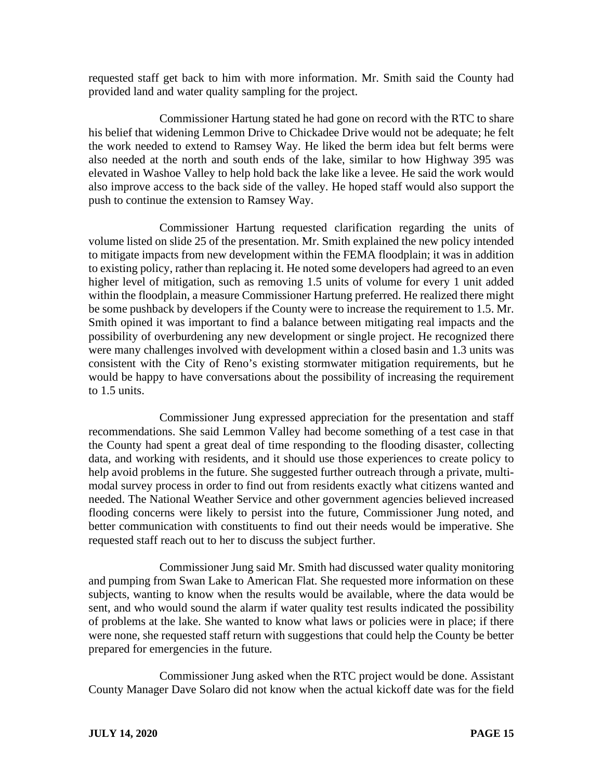requested staff get back to him with more information. Mr. Smith said the County had provided land and water quality sampling for the project.

Commissioner Hartung stated he had gone on record with the RTC to share his belief that widening Lemmon Drive to Chickadee Drive would not be adequate; he felt the work needed to extend to Ramsey Way. He liked the berm idea but felt berms were also needed at the north and south ends of the lake, similar to how Highway 395 was elevated in Washoe Valley to help hold back the lake like a levee. He said the work would also improve access to the back side of the valley. He hoped staff would also support the push to continue the extension to Ramsey Way.

Commissioner Hartung requested clarification regarding the units of volume listed on slide 25 of the presentation. Mr. Smith explained the new policy intended to mitigate impacts from new development within the FEMA floodplain; it was in addition to existing policy, rather than replacing it. He noted some developers had agreed to an even higher level of mitigation, such as removing 1.5 units of volume for every 1 unit added within the floodplain, a measure Commissioner Hartung preferred. He realized there might be some pushback by developers if the County were to increase the requirement to 1.5. Mr. Smith opined it was important to find a balance between mitigating real impacts and the possibility of overburdening any new development or single project. He recognized there were many challenges involved with development within a closed basin and 1.3 units was consistent with the City of Reno's existing stormwater mitigation requirements, but he would be happy to have conversations about the possibility of increasing the requirement to 1.5 units.

Commissioner Jung expressed appreciation for the presentation and staff recommendations. She said Lemmon Valley had become something of a test case in that the County had spent a great deal of time responding to the flooding disaster, collecting data, and working with residents, and it should use those experiences to create policy to help avoid problems in the future. She suggested further outreach through a private, multimodal survey process in order to find out from residents exactly what citizens wanted and needed. The National Weather Service and other government agencies believed increased flooding concerns were likely to persist into the future, Commissioner Jung noted, and better communication with constituents to find out their needs would be imperative. She requested staff reach out to her to discuss the subject further.

Commissioner Jung said Mr. Smith had discussed water quality monitoring and pumping from Swan Lake to American Flat. She requested more information on these subjects, wanting to know when the results would be available, where the data would be sent, and who would sound the alarm if water quality test results indicated the possibility of problems at the lake. She wanted to know what laws or policies were in place; if there were none, she requested staff return with suggestions that could help the County be better prepared for emergencies in the future.

Commissioner Jung asked when the RTC project would be done. Assistant County Manager Dave Solaro did not know when the actual kickoff date was for the field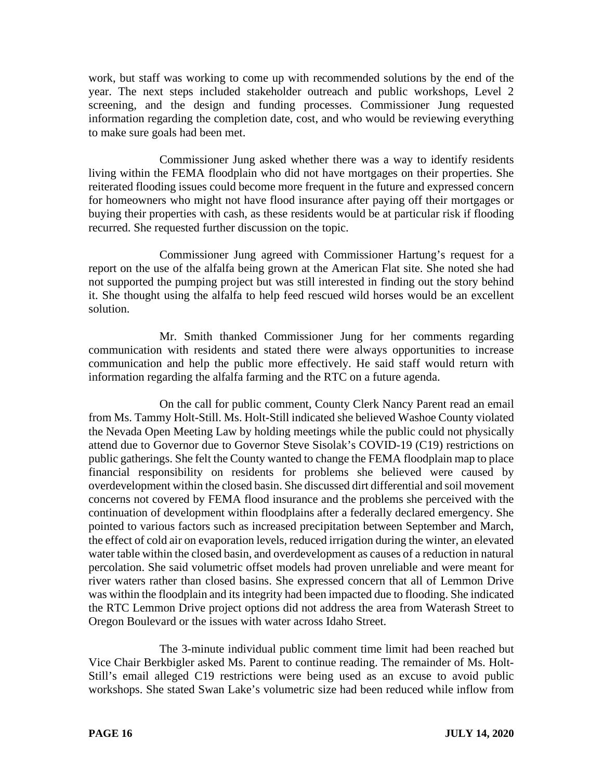work, but staff was working to come up with recommended solutions by the end of the year. The next steps included stakeholder outreach and public workshops, Level 2 screening, and the design and funding processes. Commissioner Jung requested information regarding the completion date, cost, and who would be reviewing everything to make sure goals had been met.

Commissioner Jung asked whether there was a way to identify residents living within the FEMA floodplain who did not have mortgages on their properties. She reiterated flooding issues could become more frequent in the future and expressed concern for homeowners who might not have flood insurance after paying off their mortgages or buying their properties with cash, as these residents would be at particular risk if flooding recurred. She requested further discussion on the topic.

Commissioner Jung agreed with Commissioner Hartung's request for a report on the use of the alfalfa being grown at the American Flat site. She noted she had not supported the pumping project but was still interested in finding out the story behind it. She thought using the alfalfa to help feed rescued wild horses would be an excellent solution.

Mr. Smith thanked Commissioner Jung for her comments regarding communication with residents and stated there were always opportunities to increase communication and help the public more effectively. He said staff would return with information regarding the alfalfa farming and the RTC on a future agenda.

On the call for public comment, County Clerk Nancy Parent read an email from Ms. Tammy Holt-Still. Ms. Holt-Still indicated she believed Washoe County violated the Nevada Open Meeting Law by holding meetings while the public could not physically attend due to Governor due to Governor Steve Sisolak's COVID-19 (C19) restrictions on public gatherings. She felt the County wanted to change the FEMA floodplain map to place financial responsibility on residents for problems she believed were caused by overdevelopment within the closed basin. She discussed dirt differential and soil movement concerns not covered by FEMA flood insurance and the problems she perceived with the continuation of development within floodplains after a federally declared emergency. She pointed to various factors such as increased precipitation between September and March, the effect of cold air on evaporation levels, reduced irrigation during the winter, an elevated water table within the closed basin, and overdevelopment as causes of a reduction in natural percolation. She said volumetric offset models had proven unreliable and were meant for river waters rather than closed basins. She expressed concern that all of Lemmon Drive was within the floodplain and its integrity had been impacted due to flooding. She indicated the RTC Lemmon Drive project options did not address the area from Waterash Street to Oregon Boulevard or the issues with water across Idaho Street.

The 3-minute individual public comment time limit had been reached but Vice Chair Berkbigler asked Ms. Parent to continue reading. The remainder of Ms. Holt-Still's email alleged C19 restrictions were being used as an excuse to avoid public workshops. She stated Swan Lake's volumetric size had been reduced while inflow from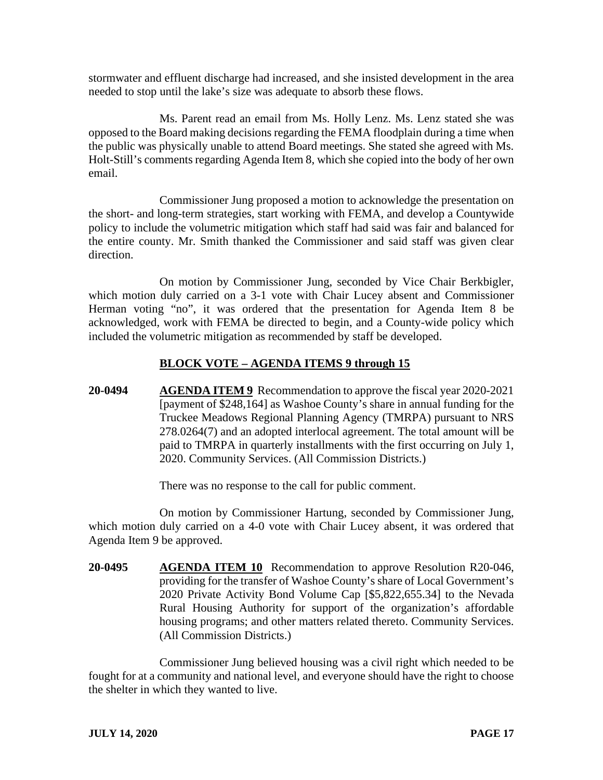stormwater and effluent discharge had increased, and she insisted development in the area needed to stop until the lake's size was adequate to absorb these flows.

Ms. Parent read an email from Ms. Holly Lenz. Ms. Lenz stated she was opposed to the Board making decisions regarding the FEMA floodplain during a time when the public was physically unable to attend Board meetings. She stated she agreed with Ms. Holt-Still's comments regarding Agenda Item 8, which she copied into the body of her own email.

Commissioner Jung proposed a motion to acknowledge the presentation on the short- and long-term strategies, start working with FEMA, and develop a Countywide policy to include the volumetric mitigation which staff had said was fair and balanced for the entire county. Mr. Smith thanked the Commissioner and said staff was given clear direction.

On motion by Commissioner Jung, seconded by Vice Chair Berkbigler, which motion duly carried on a 3-1 vote with Chair Lucey absent and Commissioner Herman voting "no", it was ordered that the presentation for Agenda Item 8 be acknowledged, work with FEMA be directed to begin, and a County-wide policy which included the volumetric mitigation as recommended by staff be developed.

## **BLOCK VOTE – AGENDA ITEMS 9 through 15**

**20-0494 AGENDA ITEM 9** Recommendation to approve the fiscal year 2020-2021 [payment of \$248,164] as Washoe County's share in annual funding for the Truckee Meadows Regional Planning Agency (TMRPA) pursuant to NRS 278.0264(7) and an adopted interlocal agreement. The total amount will be paid to TMRPA in quarterly installments with the first occurring on July 1, 2020. Community Services. (All Commission Districts.)

There was no response to the call for public comment.

On motion by Commissioner Hartung, seconded by Commissioner Jung, which motion duly carried on a 4-0 vote with Chair Lucey absent, it was ordered that Agenda Item 9 be approved.

**20-0495 AGENDA ITEM 10** Recommendation to approve Resolution R20-046, providing for the transfer of Washoe County's share of Local Government's 2020 Private Activity Bond Volume Cap [\$5,822,655.34] to the Nevada Rural Housing Authority for support of the organization's affordable housing programs; and other matters related thereto. Community Services. (All Commission Districts.)

Commissioner Jung believed housing was a civil right which needed to be fought for at a community and national level, and everyone should have the right to choose the shelter in which they wanted to live.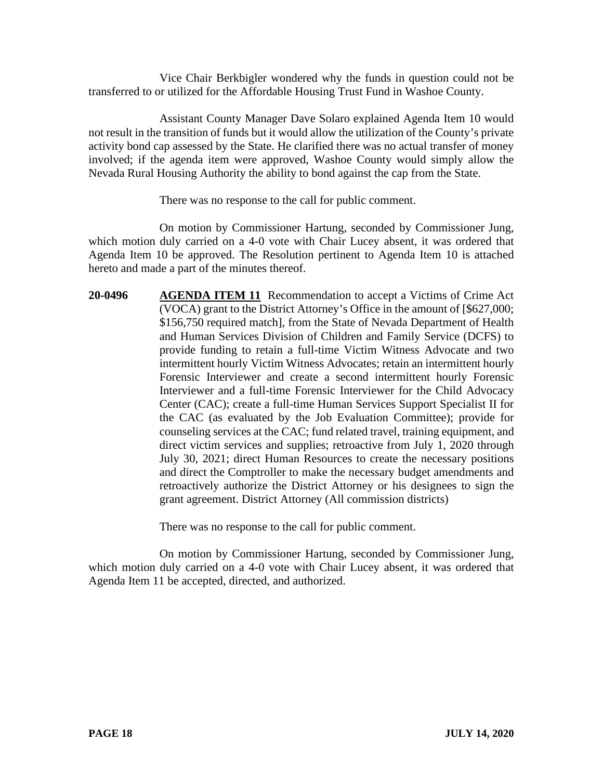Vice Chair Berkbigler wondered why the funds in question could not be transferred to or utilized for the Affordable Housing Trust Fund in Washoe County.

Assistant County Manager Dave Solaro explained Agenda Item 10 would not result in the transition of funds but it would allow the utilization of the County's private activity bond cap assessed by the State. He clarified there was no actual transfer of money involved; if the agenda item were approved, Washoe County would simply allow the Nevada Rural Housing Authority the ability to bond against the cap from the State.

There was no response to the call for public comment.

On motion by Commissioner Hartung, seconded by Commissioner Jung, which motion duly carried on a 4-0 vote with Chair Lucey absent, it was ordered that Agenda Item 10 be approved. The Resolution pertinent to Agenda Item 10 is attached hereto and made a part of the minutes thereof.

**20-0496 AGENDA ITEM 11** Recommendation to accept a Victims of Crime Act (VOCA) grant to the District Attorney's Office in the amount of [\$627,000; \$156,750 required match], from the State of Nevada Department of Health and Human Services Division of Children and Family Service (DCFS) to provide funding to retain a full-time Victim Witness Advocate and two intermittent hourly Victim Witness Advocates; retain an intermittent hourly Forensic Interviewer and create a second intermittent hourly Forensic Interviewer and a full-time Forensic Interviewer for the Child Advocacy Center (CAC); create a full-time Human Services Support Specialist II for the CAC (as evaluated by the Job Evaluation Committee); provide for counseling services at the CAC; fund related travel, training equipment, and direct victim services and supplies; retroactive from July 1, 2020 through July 30, 2021; direct Human Resources to create the necessary positions and direct the Comptroller to make the necessary budget amendments and retroactively authorize the District Attorney or his designees to sign the grant agreement. District Attorney (All commission districts)

There was no response to the call for public comment.

On motion by Commissioner Hartung, seconded by Commissioner Jung, which motion duly carried on a 4-0 vote with Chair Lucey absent, it was ordered that Agenda Item 11 be accepted, directed, and authorized.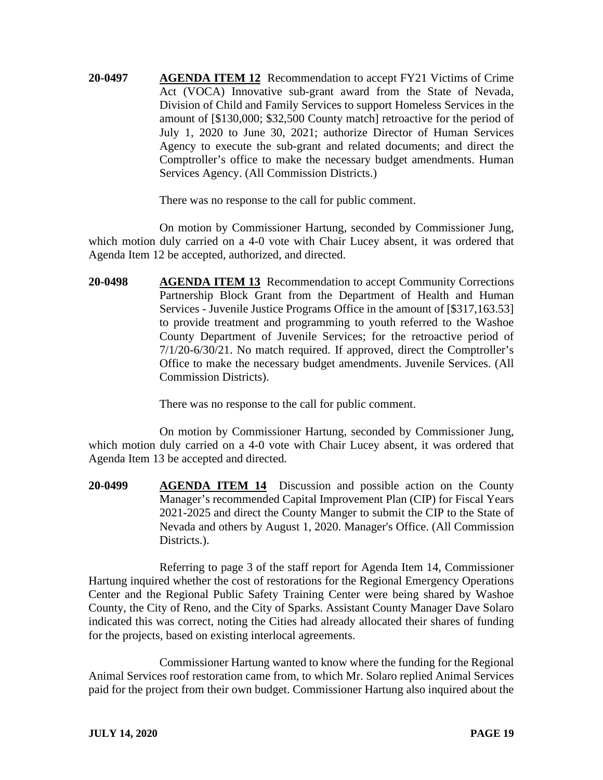**20-0497 AGENDA ITEM 12** Recommendation to accept FY21 Victims of Crime Act (VOCA) Innovative sub-grant award from the State of Nevada, Division of Child and Family Services to support Homeless Services in the amount of [\$130,000; \$32,500 County match] retroactive for the period of July 1, 2020 to June 30, 2021; authorize Director of Human Services Agency to execute the sub-grant and related documents; and direct the Comptroller's office to make the necessary budget amendments. Human Services Agency. (All Commission Districts.)

There was no response to the call for public comment.

On motion by Commissioner Hartung, seconded by Commissioner Jung, which motion duly carried on a 4-0 vote with Chair Lucey absent, it was ordered that Agenda Item 12 be accepted, authorized, and directed.

**20-0498 AGENDA ITEM 13** Recommendation to accept Community Corrections Partnership Block Grant from the Department of Health and Human Services - Juvenile Justice Programs Office in the amount of [\$317,163.53] to provide treatment and programming to youth referred to the Washoe County Department of Juvenile Services; for the retroactive period of 7/1/20-6/30/21. No match required. If approved, direct the Comptroller's Office to make the necessary budget amendments. Juvenile Services. (All Commission Districts).

There was no response to the call for public comment.

On motion by Commissioner Hartung, seconded by Commissioner Jung, which motion duly carried on a 4-0 vote with Chair Lucey absent, it was ordered that Agenda Item 13 be accepted and directed.

**20-0499 AGENDA ITEM 14** Discussion and possible action on the County Manager's recommended Capital Improvement Plan (CIP) for Fiscal Years 2021-2025 and direct the County Manger to submit the CIP to the State of Nevada and others by August 1, 2020. Manager's Office. (All Commission Districts.).

Referring to page 3 of the staff report for Agenda Item 14, Commissioner Hartung inquired whether the cost of restorations for the Regional Emergency Operations Center and the Regional Public Safety Training Center were being shared by Washoe County, the City of Reno, and the City of Sparks. Assistant County Manager Dave Solaro indicated this was correct, noting the Cities had already allocated their shares of funding for the projects, based on existing interlocal agreements.

Commissioner Hartung wanted to know where the funding for the Regional Animal Services roof restoration came from, to which Mr. Solaro replied Animal Services paid for the project from their own budget. Commissioner Hartung also inquired about the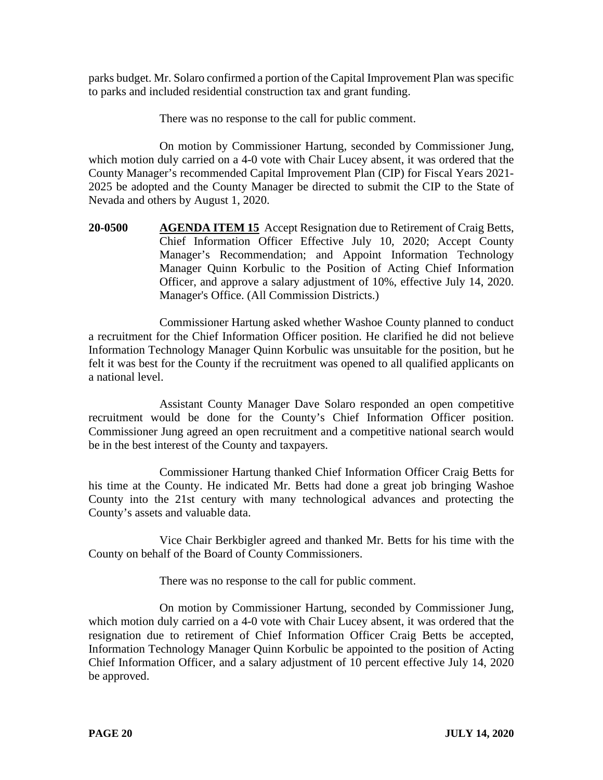parks budget. Mr. Solaro confirmed a portion of the Capital Improvement Plan was specific to parks and included residential construction tax and grant funding.

There was no response to the call for public comment.

On motion by Commissioner Hartung, seconded by Commissioner Jung, which motion duly carried on a 4-0 vote with Chair Lucey absent, it was ordered that the County Manager's recommended Capital Improvement Plan (CIP) for Fiscal Years 2021- 2025 be adopted and the County Manager be directed to submit the CIP to the State of Nevada and others by August 1, 2020.

**20-0500 AGENDA ITEM 15** Accept Resignation due to Retirement of Craig Betts, Chief Information Officer Effective July 10, 2020; Accept County Manager's Recommendation; and Appoint Information Technology Manager Quinn Korbulic to the Position of Acting Chief Information Officer, and approve a salary adjustment of 10%, effective July 14, 2020. Manager's Office. (All Commission Districts.)

Commissioner Hartung asked whether Washoe County planned to conduct a recruitment for the Chief Information Officer position. He clarified he did not believe Information Technology Manager Quinn Korbulic was unsuitable for the position, but he felt it was best for the County if the recruitment was opened to all qualified applicants on a national level.

Assistant County Manager Dave Solaro responded an open competitive recruitment would be done for the County's Chief Information Officer position. Commissioner Jung agreed an open recruitment and a competitive national search would be in the best interest of the County and taxpayers.

Commissioner Hartung thanked Chief Information Officer Craig Betts for his time at the County. He indicated Mr. Betts had done a great job bringing Washoe County into the 21st century with many technological advances and protecting the County's assets and valuable data.

Vice Chair Berkbigler agreed and thanked Mr. Betts for his time with the County on behalf of the Board of County Commissioners.

There was no response to the call for public comment.

On motion by Commissioner Hartung, seconded by Commissioner Jung, which motion duly carried on a 4-0 vote with Chair Lucey absent, it was ordered that the resignation due to retirement of Chief Information Officer Craig Betts be accepted, Information Technology Manager Quinn Korbulic be appointed to the position of Acting Chief Information Officer, and a salary adjustment of 10 percent effective July 14, 2020 be approved.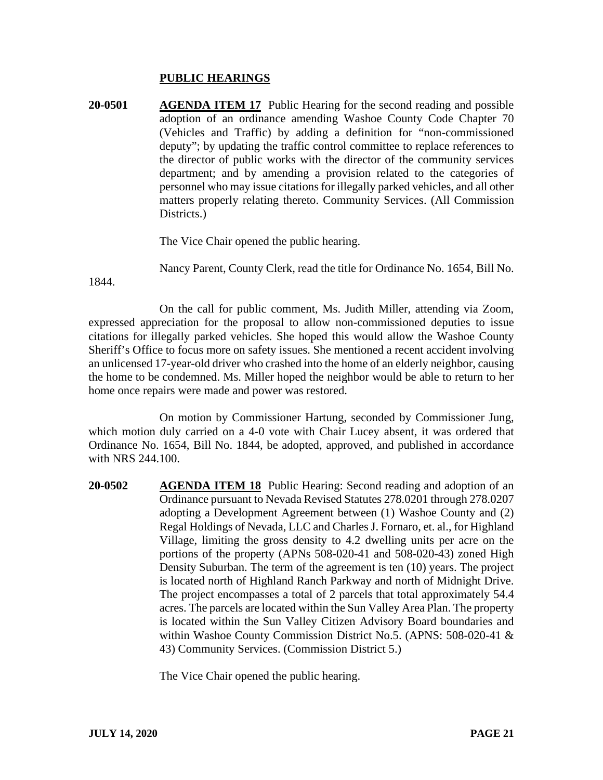## **PUBLIC HEARINGS**

**20-0501 AGENDA ITEM 17** Public Hearing for the second reading and possible adoption of an ordinance amending Washoe County Code Chapter 70 (Vehicles and Traffic) by adding a definition for "non-commissioned deputy"; by updating the traffic control committee to replace references to the director of public works with the director of the community services department; and by amending a provision related to the categories of personnel who may issue citations for illegally parked vehicles, and all other matters properly relating thereto. Community Services. (All Commission Districts.

The Vice Chair opened the public hearing.

Nancy Parent, County Clerk, read the title for Ordinance No. 1654, Bill No.

1844.

On the call for public comment, Ms. Judith Miller, attending via Zoom, expressed appreciation for the proposal to allow non-commissioned deputies to issue citations for illegally parked vehicles. She hoped this would allow the Washoe County Sheriff's Office to focus more on safety issues. She mentioned a recent accident involving an unlicensed 17-year-old driver who crashed into the home of an elderly neighbor, causing the home to be condemned. Ms. Miller hoped the neighbor would be able to return to her home once repairs were made and power was restored.

On motion by Commissioner Hartung, seconded by Commissioner Jung, which motion duly carried on a 4-0 vote with Chair Lucey absent, it was ordered that Ordinance No. 1654, Bill No. 1844, be adopted, approved, and published in accordance with NRS 244.100.

**20-0502 AGENDA ITEM 18** Public Hearing: Second reading and adoption of an Ordinance pursuant to Nevada Revised Statutes 278.0201 through 278.0207 adopting a Development Agreement between (1) Washoe County and (2) Regal Holdings of Nevada, LLC and Charles J. Fornaro, et. al., for Highland Village, limiting the gross density to 4.2 dwelling units per acre on the portions of the property (APNs 508-020-41 and 508-020-43) zoned High Density Suburban. The term of the agreement is ten (10) years. The project is located north of Highland Ranch Parkway and north of Midnight Drive. The project encompasses a total of 2 parcels that total approximately 54.4 acres. The parcels are located within the Sun Valley Area Plan. The property is located within the Sun Valley Citizen Advisory Board boundaries and within Washoe County Commission District No.5. (APNS: 508-020-41 & 43) Community Services. (Commission District 5.)

The Vice Chair opened the public hearing.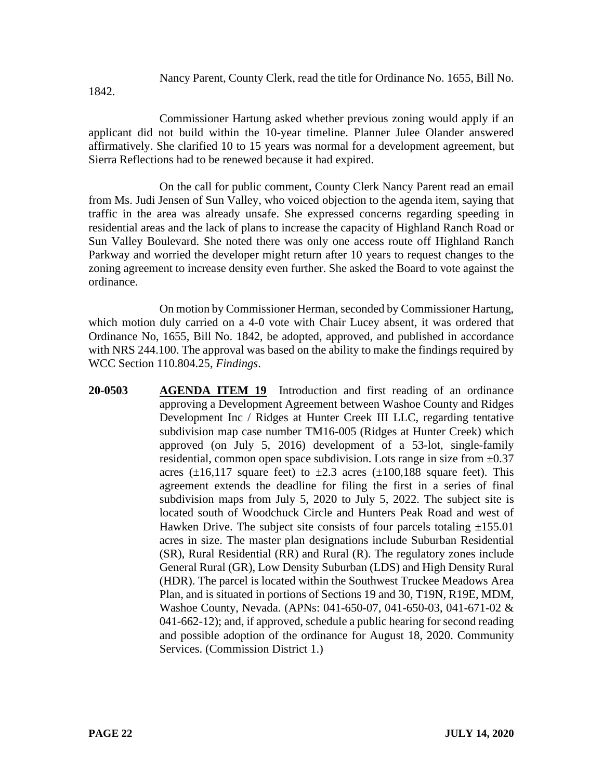Nancy Parent, County Clerk, read the title for Ordinance No. 1655, Bill No.

1842.

Commissioner Hartung asked whether previous zoning would apply if an applicant did not build within the 10-year timeline. Planner Julee Olander answered affirmatively. She clarified 10 to 15 years was normal for a development agreement, but Sierra Reflections had to be renewed because it had expired.

On the call for public comment, County Clerk Nancy Parent read an email from Ms. Judi Jensen of Sun Valley, who voiced objection to the agenda item, saying that traffic in the area was already unsafe. She expressed concerns regarding speeding in residential areas and the lack of plans to increase the capacity of Highland Ranch Road or Sun Valley Boulevard. She noted there was only one access route off Highland Ranch Parkway and worried the developer might return after 10 years to request changes to the zoning agreement to increase density even further. She asked the Board to vote against the ordinance.

On motion by Commissioner Herman, seconded by Commissioner Hartung, which motion duly carried on a 4-0 vote with Chair Lucey absent, it was ordered that Ordinance No, 1655, Bill No. 1842, be adopted, approved, and published in accordance with NRS 244.100. The approval was based on the ability to make the findings required by WCC Section 110.804.25, *Findings*.

**20-0503 AGENDA ITEM 19** Introduction and first reading of an ordinance approving a Development Agreement between Washoe County and Ridges Development Inc / Ridges at Hunter Creek III LLC, regarding tentative subdivision map case number TM16-005 (Ridges at Hunter Creek) which approved (on July 5, 2016) development of a 53-lot, single-family residential, common open space subdivision. Lots range in size from  $\pm 0.37$ acres ( $\pm 16,117$  square feet) to  $\pm 2.3$  acres ( $\pm 100,188$  square feet). This agreement extends the deadline for filing the first in a series of final subdivision maps from July 5, 2020 to July 5, 2022. The subject site is located south of Woodchuck Circle and Hunters Peak Road and west of Hawken Drive. The subject site consists of four parcels totaling  $\pm 155.01$ acres in size. The master plan designations include Suburban Residential (SR), Rural Residential (RR) and Rural (R). The regulatory zones include General Rural (GR), Low Density Suburban (LDS) and High Density Rural (HDR). The parcel is located within the Southwest Truckee Meadows Area Plan, and is situated in portions of Sections 19 and 30, T19N, R19E, MDM, Washoe County, Nevada. (APNs: 041-650-07, 041-650-03, 041-671-02 & 041-662-12); and, if approved, schedule a public hearing for second reading and possible adoption of the ordinance for August 18, 2020. Community Services. (Commission District 1.)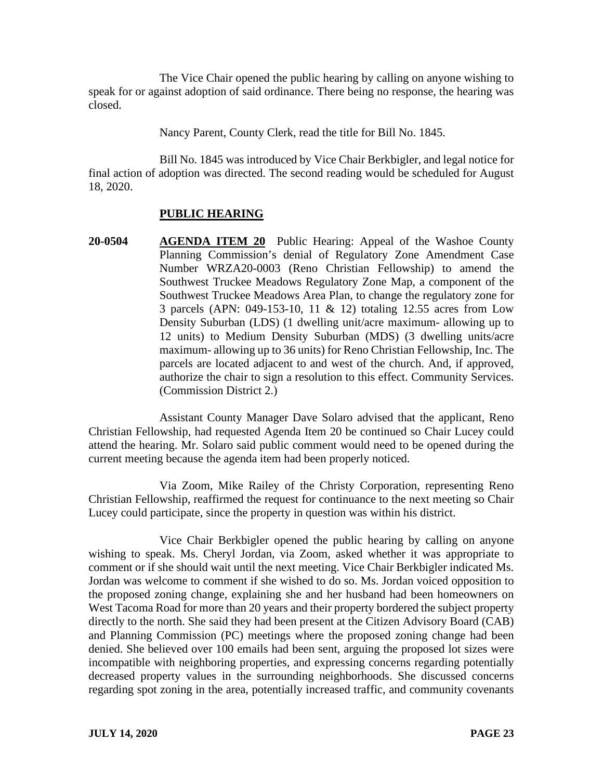The Vice Chair opened the public hearing by calling on anyone wishing to speak for or against adoption of said ordinance. There being no response, the hearing was closed.

Nancy Parent, County Clerk, read the title for Bill No. 1845.

Bill No. 1845 was introduced by Vice Chair Berkbigler, and legal notice for final action of adoption was directed. The second reading would be scheduled for August 18, 2020.

# **PUBLIC HEARING**

**20-0504 AGENDA ITEM 20** Public Hearing: Appeal of the Washoe County Planning Commission's denial of Regulatory Zone Amendment Case Number WRZA20-0003 (Reno Christian Fellowship) to amend the Southwest Truckee Meadows Regulatory Zone Map, a component of the Southwest Truckee Meadows Area Plan, to change the regulatory zone for 3 parcels (APN: 049-153-10, 11 & 12) totaling 12.55 acres from Low Density Suburban (LDS) (1 dwelling unit/acre maximum- allowing up to 12 units) to Medium Density Suburban (MDS) (3 dwelling units/acre maximum- allowing up to 36 units) for Reno Christian Fellowship, Inc. The parcels are located adjacent to and west of the church. And, if approved, authorize the chair to sign a resolution to this effect. Community Services. (Commission District 2.)

Assistant County Manager Dave Solaro advised that the applicant, Reno Christian Fellowship, had requested Agenda Item 20 be continued so Chair Lucey could attend the hearing. Mr. Solaro said public comment would need to be opened during the current meeting because the agenda item had been properly noticed.

Via Zoom, Mike Railey of the Christy Corporation, representing Reno Christian Fellowship, reaffirmed the request for continuance to the next meeting so Chair Lucey could participate, since the property in question was within his district.

Vice Chair Berkbigler opened the public hearing by calling on anyone wishing to speak. Ms. Cheryl Jordan, via Zoom, asked whether it was appropriate to comment or if she should wait until the next meeting. Vice Chair Berkbigler indicated Ms. Jordan was welcome to comment if she wished to do so. Ms. Jordan voiced opposition to the proposed zoning change, explaining she and her husband had been homeowners on West Tacoma Road for more than 20 years and their property bordered the subject property directly to the north. She said they had been present at the Citizen Advisory Board (CAB) and Planning Commission (PC) meetings where the proposed zoning change had been denied. She believed over 100 emails had been sent, arguing the proposed lot sizes were incompatible with neighboring properties, and expressing concerns regarding potentially decreased property values in the surrounding neighborhoods. She discussed concerns regarding spot zoning in the area, potentially increased traffic, and community covenants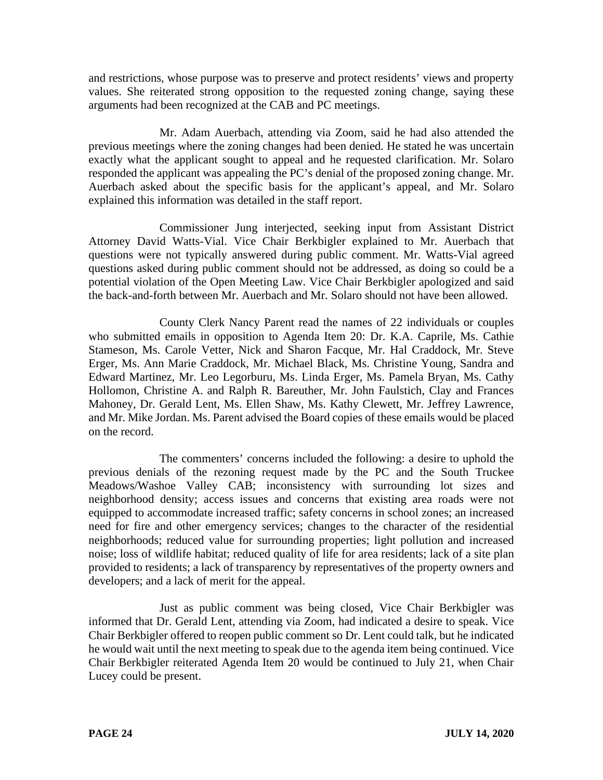and restrictions, whose purpose was to preserve and protect residents' views and property values. She reiterated strong opposition to the requested zoning change, saying these arguments had been recognized at the CAB and PC meetings.

Mr. Adam Auerbach, attending via Zoom, said he had also attended the previous meetings where the zoning changes had been denied. He stated he was uncertain exactly what the applicant sought to appeal and he requested clarification. Mr. Solaro responded the applicant was appealing the PC's denial of the proposed zoning change. Mr. Auerbach asked about the specific basis for the applicant's appeal, and Mr. Solaro explained this information was detailed in the staff report.

Commissioner Jung interjected, seeking input from Assistant District Attorney David Watts-Vial. Vice Chair Berkbigler explained to Mr. Auerbach that questions were not typically answered during public comment. Mr. Watts-Vial agreed questions asked during public comment should not be addressed, as doing so could be a potential violation of the Open Meeting Law. Vice Chair Berkbigler apologized and said the back-and-forth between Mr. Auerbach and Mr. Solaro should not have been allowed.

County Clerk Nancy Parent read the names of 22 individuals or couples who submitted emails in opposition to Agenda Item 20: Dr. K.A. Caprile, Ms. Cathie Stameson, Ms. Carole Vetter, Nick and Sharon Facque, Mr. Hal Craddock, Mr. Steve Erger, Ms. Ann Marie Craddock, Mr. Michael Black, Ms. Christine Young, Sandra and Edward Martinez, Mr. Leo Legorburu, Ms. Linda Erger, Ms. Pamela Bryan, Ms. Cathy Hollomon, Christine A. and Ralph R. Bareuther, Mr. John Faulstich, Clay and Frances Mahoney, Dr. Gerald Lent, Ms. Ellen Shaw, Ms. Kathy Clewett, Mr. Jeffrey Lawrence, and Mr. Mike Jordan. Ms. Parent advised the Board copies of these emails would be placed on the record.

The commenters' concerns included the following: a desire to uphold the previous denials of the rezoning request made by the PC and the South Truckee Meadows/Washoe Valley CAB; inconsistency with surrounding lot sizes and neighborhood density; access issues and concerns that existing area roads were not equipped to accommodate increased traffic; safety concerns in school zones; an increased need for fire and other emergency services; changes to the character of the residential neighborhoods; reduced value for surrounding properties; light pollution and increased noise; loss of wildlife habitat; reduced quality of life for area residents; lack of a site plan provided to residents; a lack of transparency by representatives of the property owners and developers; and a lack of merit for the appeal.

Just as public comment was being closed, Vice Chair Berkbigler was informed that Dr. Gerald Lent, attending via Zoom, had indicated a desire to speak. Vice Chair Berkbigler offered to reopen public comment so Dr. Lent could talk, but he indicated he would wait until the next meeting to speak due to the agenda item being continued. Vice Chair Berkbigler reiterated Agenda Item 20 would be continued to July 21, when Chair Lucey could be present.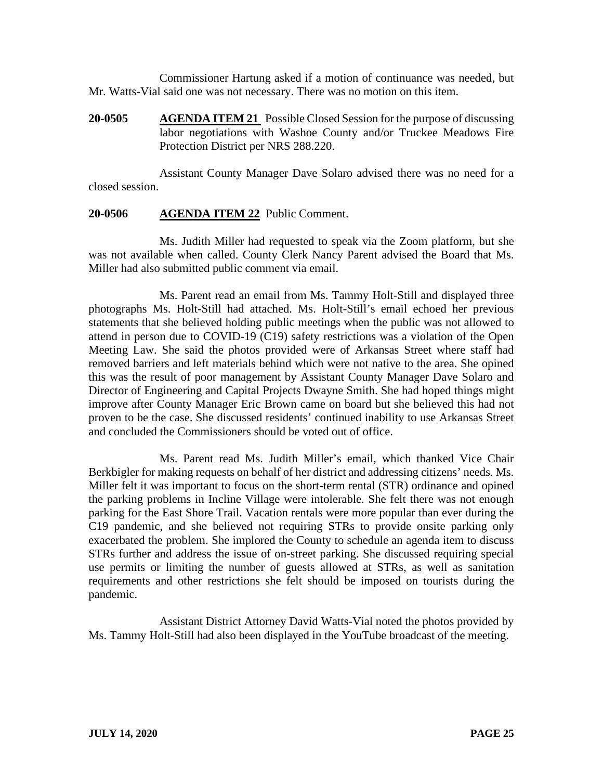Commissioner Hartung asked if a motion of continuance was needed, but Mr. Watts-Vial said one was not necessary. There was no motion on this item.

**20-0505 AGENDA ITEM 21** Possible Closed Session for the purpose of discussing labor negotiations with Washoe County and/or Truckee Meadows Fire Protection District per NRS 288.220.

Assistant County Manager Dave Solaro advised there was no need for a closed session.

## **20-0506 AGENDA ITEM 22** Public Comment.

Ms. Judith Miller had requested to speak via the Zoom platform, but she was not available when called. County Clerk Nancy Parent advised the Board that Ms. Miller had also submitted public comment via email.

Ms. Parent read an email from Ms. Tammy Holt-Still and displayed three photographs Ms. Holt-Still had attached. Ms. Holt-Still's email echoed her previous statements that she believed holding public meetings when the public was not allowed to attend in person due to COVID-19 (C19) safety restrictions was a violation of the Open Meeting Law. She said the photos provided were of Arkansas Street where staff had removed barriers and left materials behind which were not native to the area. She opined this was the result of poor management by Assistant County Manager Dave Solaro and Director of Engineering and Capital Projects Dwayne Smith. She had hoped things might improve after County Manager Eric Brown came on board but she believed this had not proven to be the case. She discussed residents' continued inability to use Arkansas Street and concluded the Commissioners should be voted out of office.

Ms. Parent read Ms. Judith Miller's email, which thanked Vice Chair Berkbigler for making requests on behalf of her district and addressing citizens' needs. Ms. Miller felt it was important to focus on the short-term rental (STR) ordinance and opined the parking problems in Incline Village were intolerable. She felt there was not enough parking for the East Shore Trail. Vacation rentals were more popular than ever during the C19 pandemic, and she believed not requiring STRs to provide onsite parking only exacerbated the problem. She implored the County to schedule an agenda item to discuss STRs further and address the issue of on-street parking. She discussed requiring special use permits or limiting the number of guests allowed at STRs, as well as sanitation requirements and other restrictions she felt should be imposed on tourists during the pandemic.

Assistant District Attorney David Watts-Vial noted the photos provided by Ms. Tammy Holt-Still had also been displayed in the YouTube broadcast of the meeting.